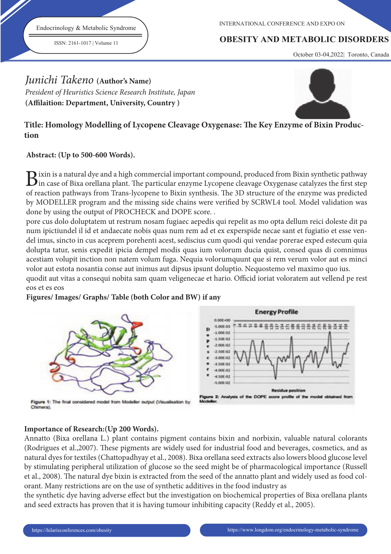Endocrinology & Metabolic Syndrome

ISSN: 2161-1017 | Volume 11

INTERNATIONAL CONFERENCE AND EXPO ON

## **OBESITY AND METABOLIC DISORDERS**

October 03-04,2022| Toronto, Canada

# Junichi Takeno **(Author's Name)**

President of Heuristics Science Research Institute, Japan (Affilaition: Department, University, Country)



## Title: Homology Modelling of Lycopene Cleavage Oxygenase: The Key Enzyme of Bixin Produc**tion**

## **Abstract: (Up to 500-600 Words).**

 $B$ ixin is a natural dye and a high commercial important compound, produced from Bixin synthetic pathway<br>in case of Bixa orellana plant. The particular enzyme Lycopene cleavage Oxygenase catalyzes the first step  $\mathbf D$  ixin is a natural dye and a high commercial important compound, produced from Bixin synthetic pathway of reaction pathways from Trans-lycopene to Bixin synthesis. The 3D structure of the enzyme was predicted by MODELLER program and the missing side chains were verified by SCRWL4 tool. Model validation was done by using the output of PROCHECK and DOPE score. .

pore cus dolo doluptatem ut restrum nosam fugiaec aepedis qui repelit as mo opta dellum reici doleste dit pa num ipictiundel il id et andaecate nobis quas num rem ad et ex experspide necae sant et fugiatio et esse vendel imus, sincto in cus aceprem porehenti acest, sediscius cum quodi qui vendae porerae exped estecum quia dolupta tatur, senis expedit ipicia dempel modis quas ium volorum ducia quist, consed quas di comnimus acestiam volupit inction non natem volum fuga. Nequia volorumquunt que si rem verum volor aut es minci volor aut estota nosantia conse aut inimus aut dipsus ipsunt doluptio. Nequostemo vel maximo quo ius. quodit aut vitas a consequi nobita sam quam veligenecae et hario. Officid ioriat voloratem aut vellend pe rest

## eos et es eos

#### **Figures/ Images/ Graphs/ Table (both Color and BW) if any**



Flaure 1: The final considered model from Modeller output (Visualisation by Chimeral



### **Importance of Research:(Up 200 Words).**

Annatto (Bixa orellana L.) plant contains pigment contains bixin and norbixin, valuable natural colorants (Rodrigues et al.,2007). These pigments are widely used for industrial food and beverages, cosmetics, and as natural dyes for textiles (Chattopadhyay et al., 2008). Bixa orellana seed extracts also lowers blood glucose level by stimulating peripheral utilization of glucose so the seed might be of pharmacological importance (Russell et al., 2008). The natural dye bixin is extracted from the seed of the annatto plant and widely used as food colorant. Many restrictions are on the use of synthetic additives in the food industry as

the synthetic dye having adverse effect but the investigation on biochemical properties of Bixa orellana plants and seed extracts has proven that it is having tumour inhibiting capacity (Reddy et al., 2005).